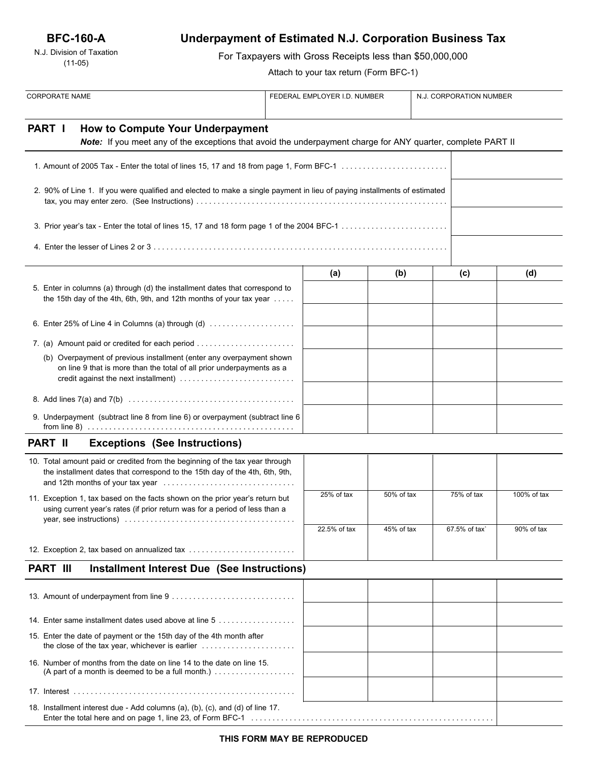## **BFC-160-A**

N.J. Division of Taxation (11-05)

# **Underpayment of Estimated N.J. Corporation Business Tax**

For Taxpayers with Gross Receipts less than \$50,000,000

Attach to your tax return (Form BFC-1)

| <b>CORPORATE NAME</b>                                                                                                                                       |                                                                                                                                                             |  | FEDERAL EMPLOYER I.D. NUMBER |            | N.J. CORPORATION NUMBER |               |             |
|-------------------------------------------------------------------------------------------------------------------------------------------------------------|-------------------------------------------------------------------------------------------------------------------------------------------------------------|--|------------------------------|------------|-------------------------|---------------|-------------|
| PART I                                                                                                                                                      | How to Compute Your Underpayment<br>Note: If you meet any of the exceptions that avoid the underpayment charge for ANY quarter, complete PART II            |  |                              |            |                         |               |             |
|                                                                                                                                                             |                                                                                                                                                             |  |                              |            |                         |               |             |
|                                                                                                                                                             | 2. 90% of Line 1. If you were qualified and elected to make a single payment in lieu of paying installments of estimated                                    |  |                              |            |                         |               |             |
|                                                                                                                                                             |                                                                                                                                                             |  |                              |            |                         |               |             |
|                                                                                                                                                             |                                                                                                                                                             |  |                              |            |                         |               |             |
|                                                                                                                                                             |                                                                                                                                                             |  | (a)                          | (b)        |                         | (c)           | (d)         |
|                                                                                                                                                             | 5. Enter in columns (a) through (d) the installment dates that correspond to<br>the 15th day of the 4th, 6th, 9th, and 12th months of your tax year         |  |                              |            |                         |               |             |
|                                                                                                                                                             | 6. Enter 25% of Line 4 in Columns (a) through (d) $\ldots$                                                                                                  |  |                              |            |                         |               |             |
|                                                                                                                                                             |                                                                                                                                                             |  |                              |            |                         |               |             |
|                                                                                                                                                             | (b) Overpayment of previous installment (enter any overpayment shown<br>on line 9 that is more than the total of all prior underpayments as a               |  |                              |            |                         |               |             |
|                                                                                                                                                             |                                                                                                                                                             |  |                              |            |                         |               |             |
|                                                                                                                                                             | 9. Underpayment (subtract line 8 from line 6) or overpayment (subtract line 6                                                                               |  |                              |            |                         |               |             |
| <b>PART II</b>                                                                                                                                              | <b>Exceptions (See Instructions)</b>                                                                                                                        |  |                              |            |                         |               |             |
|                                                                                                                                                             | 10. Total amount paid or credited from the beginning of the tax year through<br>the installment dates that correspond to the 15th day of the 4th, 6th, 9th, |  |                              |            |                         |               |             |
| 11. Exception 1, tax based on the facts shown on the prior year's return but<br>using current year's rates (if prior return was for a period of less than a |                                                                                                                                                             |  | 25% of tax                   | 50% of tax |                         | 75% of tax    | 100% of tax |
|                                                                                                                                                             |                                                                                                                                                             |  | 22.5% of tax                 | 45% of tax |                         | 67.5% of tax` | 90% of tax  |
|                                                                                                                                                             | 12. Exception 2, tax based on annualized tax                                                                                                                |  |                              |            |                         |               |             |
| <b>PART III</b>                                                                                                                                             | <b>Installment Interest Due (See Instructions)</b>                                                                                                          |  |                              |            |                         |               |             |
|                                                                                                                                                             |                                                                                                                                                             |  |                              |            |                         |               |             |
|                                                                                                                                                             | 14. Enter same installment dates used above at line 5                                                                                                       |  |                              |            |                         |               |             |
|                                                                                                                                                             | 15. Enter the date of payment or the 15th day of the 4th month after                                                                                        |  |                              |            |                         |               |             |
| 16. Number of months from the date on line 14 to the date on line 15.<br>(A part of a month is deemed to be a full month.) $\ldots$                         |                                                                                                                                                             |  |                              |            |                         |               |             |
|                                                                                                                                                             |                                                                                                                                                             |  |                              |            |                         |               |             |
|                                                                                                                                                             | 18. Installment interest due - Add columns (a), (b), (c), and (d) of line 17.                                                                               |  |                              |            |                         |               |             |